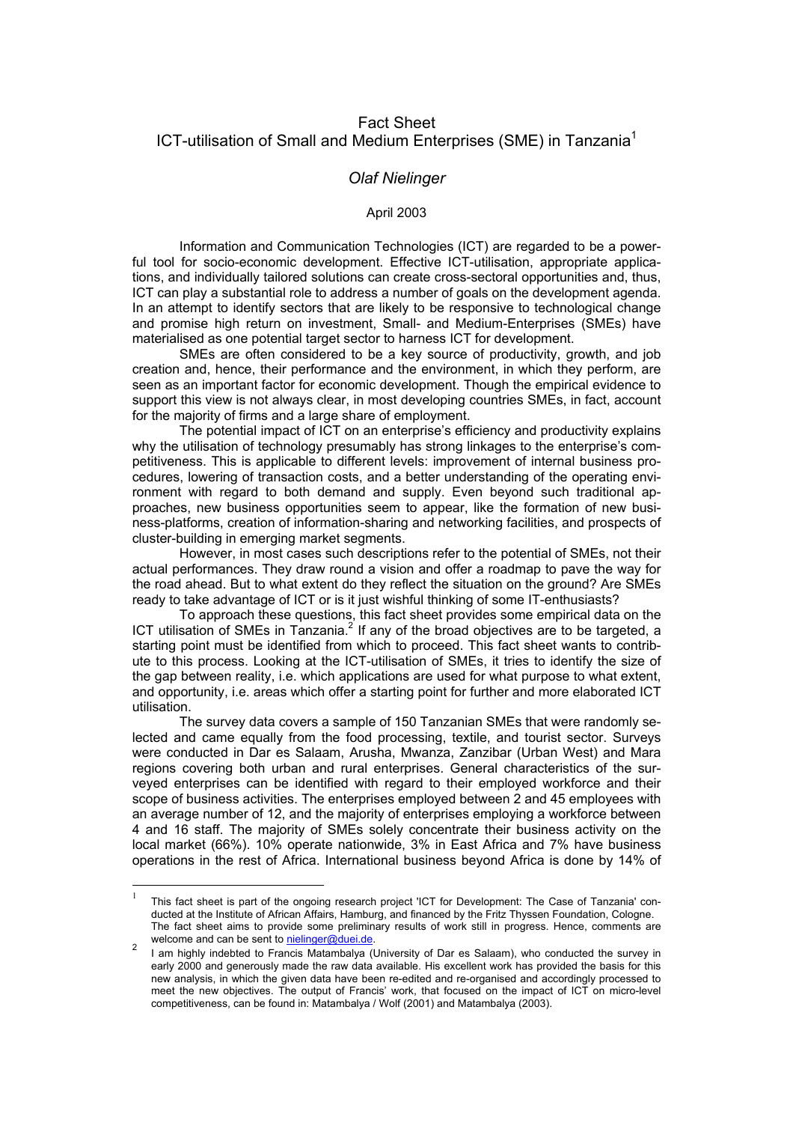# Fact Sheet ICT-utilisation of Small and Medium Enterprises (SME) in Tanzania<sup>1</sup>

## *Olaf Nielinger*

#### April 2003

Information and Communication Technologies (ICT) are regarded to be a powerful tool for socio-economic development. Effective ICT-utilisation, appropriate applications, and individually tailored solutions can create cross-sectoral opportunities and, thus, ICT can play a substantial role to address a number of goals on the development agenda. In an attempt to identify sectors that are likely to be responsive to technological change and promise high return on investment, Small- and Medium-Enterprises (SMEs) have materialised as one potential target sector to harness ICT for development.

SMEs are often considered to be a key source of productivity, growth, and job creation and, hence, their performance and the environment, in which they perform, are seen as an important factor for economic development. Though the empirical evidence to support this view is not always clear, in most developing countries SMEs, in fact, account for the majority of firms and a large share of employment.

The potential impact of ICT on an enterprise's efficiency and productivity explains why the utilisation of technology presumably has strong linkages to the enterprise's competitiveness. This is applicable to different levels: improvement of internal business procedures, lowering of transaction costs, and a better understanding of the operating environment with regard to both demand and supply. Even beyond such traditional approaches, new business opportunities seem to appear, like the formation of new business-platforms, creation of information-sharing and networking facilities, and prospects of cluster-building in emerging market segments.

However, in most cases such descriptions refer to the potential of SMEs, not their actual performances. They draw round a vision and offer a roadmap to pave the way for the road ahead. But to what extent do they reflect the situation on the ground? Are SMEs ready to take advantage of ICT or is it just wishful thinking of some IT-enthusiasts?

To approach these questions, this fact sheet provides some empirical data on the ICT utilisation of SMEs in Tanzania. $^2$  If any of the broad objectives are to be targeted, a starting point must be identified from which to proceed. This fact sheet wants to contribute to this process. Looking at the ICT-utilisation of SMEs, it tries to identify the size of the gap between reality, i.e. which applications are used for what purpose to what extent, and opportunity, i.e. areas which offer a starting point for further and more elaborated ICT utilisation.

The survey data covers a sample of 150 Tanzanian SMEs that were randomly selected and came equally from the food processing, textile, and tourist sector. Surveys were conducted in Dar es Salaam, Arusha, Mwanza, Zanzibar (Urban West) and Mara regions covering both urban and rural enterprises. General characteristics of the surveyed enterprises can be identified with regard to their employed workforce and their scope of business activities. The enterprises employed between 2 and 45 employees with an average number of 12, and the majority of enterprises employing a workforce between 4 and 16 staff. The majority of SMEs solely concentrate their business activity on the local market (66%). 10% operate nationwide, 3% in East Africa and 7% have business operations in the rest of Africa. International business beyond Africa is done by 14% of

 $\overline{a}$ 

<span id="page-0-0"></span><sup>1</sup> This fact sheet is part of the ongoing research project 'ICT for Development: The Case of Tanzania' conducted at the Institute of African Affairs, Hamburg, and financed by the Fritz Thyssen Foundation, Cologne. The fact sheet aims to provide some preliminary results of work still in progress. Hence, comments are welcome and can be sent to **nielinger@duei.de**.

<span id="page-0-1"></span>welcome and can be sent to [nielinger@duei.de.](mailto:nielinger@duei.de)<br><sup>2</sup> I am highly indebted to Francis Matambalya (University of Dar es Salaam), who conducted the survey in early 2000 and generously made the raw data available. His excellent work has provided the basis for this new analysis, in which the given data have been re-edited and re-organised and accordingly processed to meet the new objectives. The output of Francis' work, that focused on the impact of ICT on micro-level competitiveness, can be found in: Matambalya / Wolf (2001) and Matambalya (2003).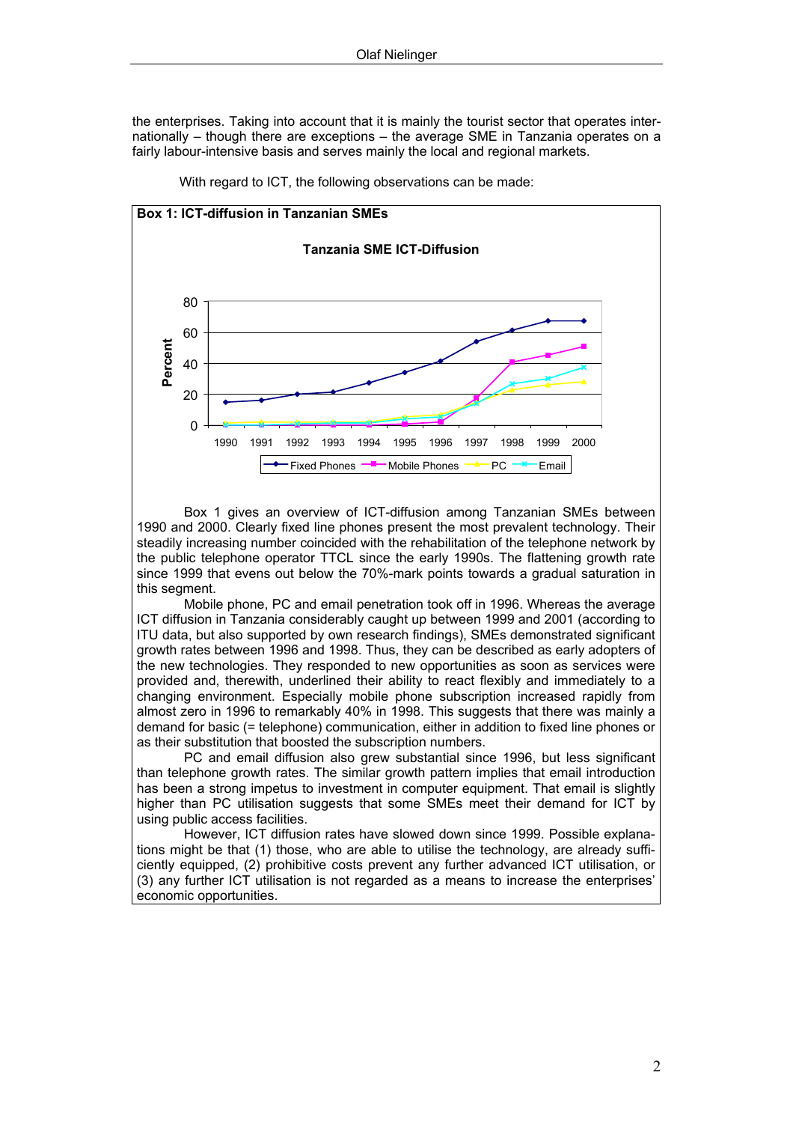the enterprises. Taking into account that it is mainly the tourist sector that operates internationally – though there are exceptions – the average SME in Tanzania operates on a fairly labour-intensive basis and serves mainly the local and regional markets.



With regard to ICT, the following observations can be made:

Box 1 gives an overview of ICT-diffusion among Tanzanian SMEs between 1990 and 2000. Clearly fixed line phones present the most prevalent technology. Their steadily increasing number coincided with the rehabilitation of the telephone network by the public telephone operator TTCL since the early 1990s. The flattening growth rate since 1999 that evens out below the 70%-mark points towards a gradual saturation in this segment.

Mobile phone, PC and email penetration took off in 1996. Whereas the average ICT diffusion in Tanzania considerably caught up between 1999 and 2001 (according to ITU data, but also supported by own research findings), SMEs demonstrated significant growth rates between 1996 and 1998. Thus, they can be described as early adopters of the new technologies. They responded to new opportunities as soon as services were provided and, therewith, underlined their ability to react flexibly and immediately to a changing environment. Especially mobile phone subscription increased rapidly from almost zero in 1996 to remarkably 40% in 1998. This suggests that there was mainly a demand for basic (= telephone) communication, either in addition to fixed line phones or as their substitution that boosted the subscription numbers.

PC and email diffusion also grew substantial since 1996, but less significant than telephone growth rates. The similar growth pattern implies that email introduction has been a strong impetus to investment in computer equipment. That email is slightly higher than PC utilisation suggests that some SMEs meet their demand for ICT by using public access facilities.

However, ICT diffusion rates have slowed down since 1999. Possible explanations might be that (1) those, who are able to utilise the technology, are already sufficiently equipped, (2) prohibitive costs prevent any further advanced ICT utilisation, or (3) any further ICT utilisation is not regarded as a means to increase the enterprises' economic opportunities.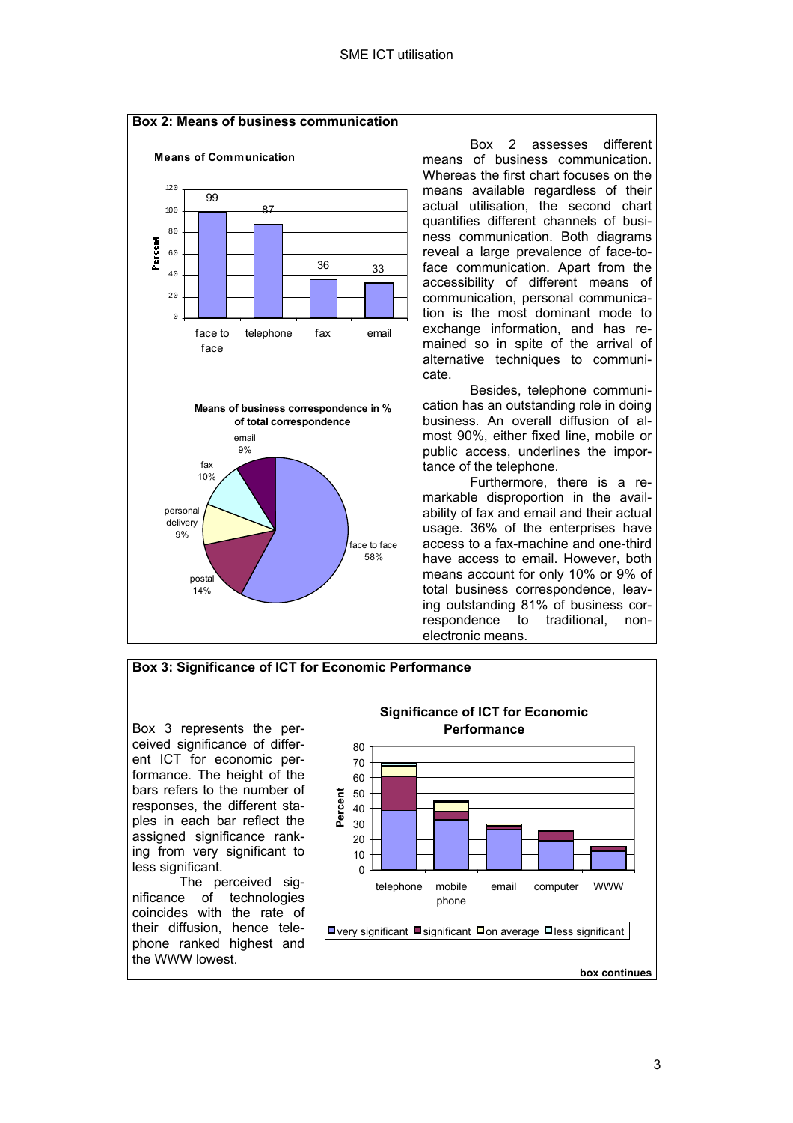

Box 2 assesses different means of business communication. Whereas the first chart focuses on the means available regardless of their actual utilisation, the second chart quantifies different channels of business communication. Both diagrams reveal a large prevalence of face-toface communication. Apart from the accessibility of different means of communication, personal communication is the most dominant mode to exchange information, and has remained so in spite of the arrival of alternative techniques to communi-

 Besides, telephone communication has an outstanding role in doing business. An overall diffusion of almost 90%, either fixed line, mobile or public access, underlines the importance of the telephone.

Furthermore, there is a remarkable disproportion in the availability of fax and email and their actual usage. 36% of the enterprises have access to a fax-machine and one-third have access to email. However, both means account for only 10% or 9% of total business correspondence, leaving outstanding 81% of business correspondence to traditional, nonelectronic means.

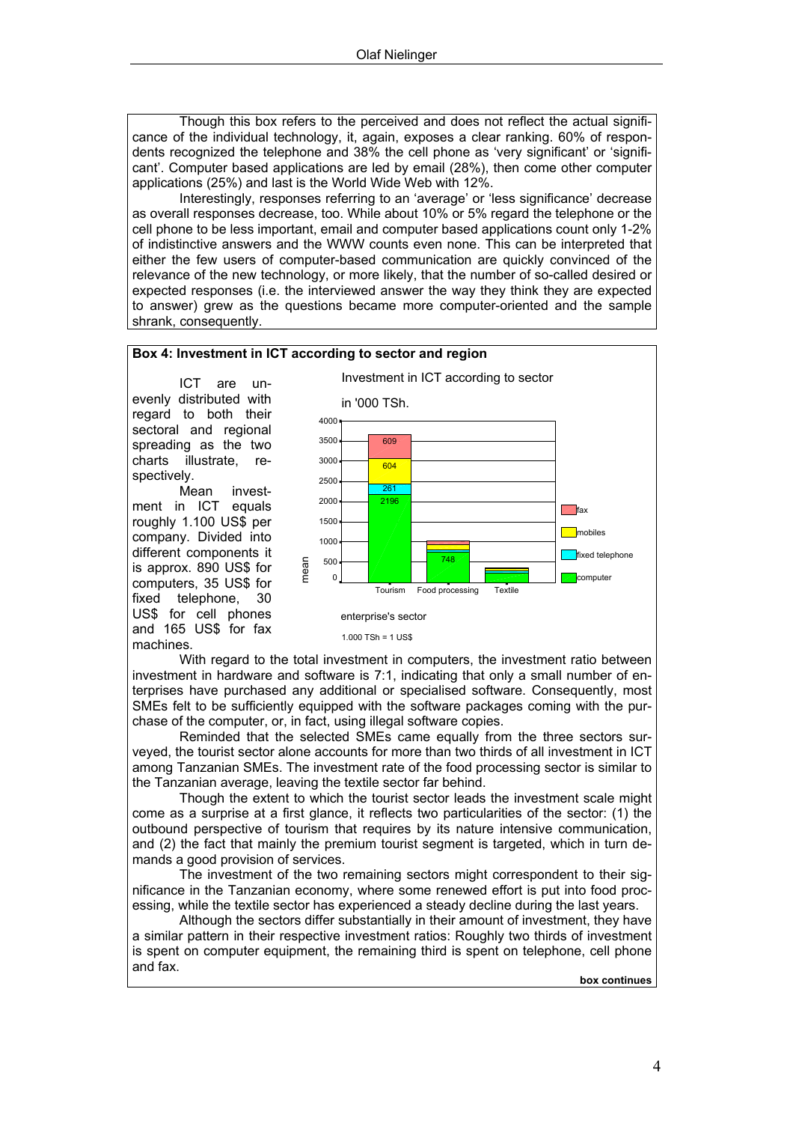Though this box refers to the perceived and does not reflect the actual significance of the individual technology, it, again, exposes a clear ranking. 60% of respondents recognized the telephone and 38% the cell phone as 'very significant' or 'significant'. Computer based applications are led by email (28%), then come other computer applications (25%) and last is the World Wide Web with 12%.

Interestingly, responses referring to an 'average' or 'less significance' decrease as overall responses decrease, too. While about 10% or 5% regard the telephone or the cell phone to be less important, email and computer based applications count only 1-2% of indistinctive answers and the WWW counts even none. This can be interpreted that either the few users of computer-based communication are quickly convinced of the relevance of the new technology, or more likely, that the number of so-called desired or expected responses (i.e. the interviewed answer the way they think they are expected to answer) grew as the questions became more computer-oriented and the sample shrank, consequently.



and 165 US\$ for fax

machines.

1.000 TSh = 1 US\$

With regard to the total investment in computers, the investment ratio between investment in hardware and software is 7:1, indicating that only a small number of enterprises have purchased any additional or specialised software. Consequently, most SMEs felt to be sufficiently equipped with the software packages coming with the purchase of the computer, or, in fact, using illegal software copies.

Reminded that the selected SMEs came equally from the three sectors surveyed, the tourist sector alone accounts for more than two thirds of all investment in ICT among Tanzanian SMEs. The investment rate of the food processing sector is similar to the Tanzanian average, leaving the textile sector far behind.

Though the extent to which the tourist sector leads the investment scale might come as a surprise at a first glance, it reflects two particularities of the sector: (1) the outbound perspective of tourism that requires by its nature intensive communication, and (2) the fact that mainly the premium tourist segment is targeted, which in turn demands a good provision of services.

The investment of the two remaining sectors might correspondent to their significance in the Tanzanian economy, where some renewed effort is put into food processing, while the textile sector has experienced a steady decline during the last years.

Although the sectors differ substantially in their amount of investment, they have a similar pattern in their respective investment ratios: Roughly two thirds of investment is spent on computer equipment, the remaining third is spent on telephone, cell phone and fax.

**box continues**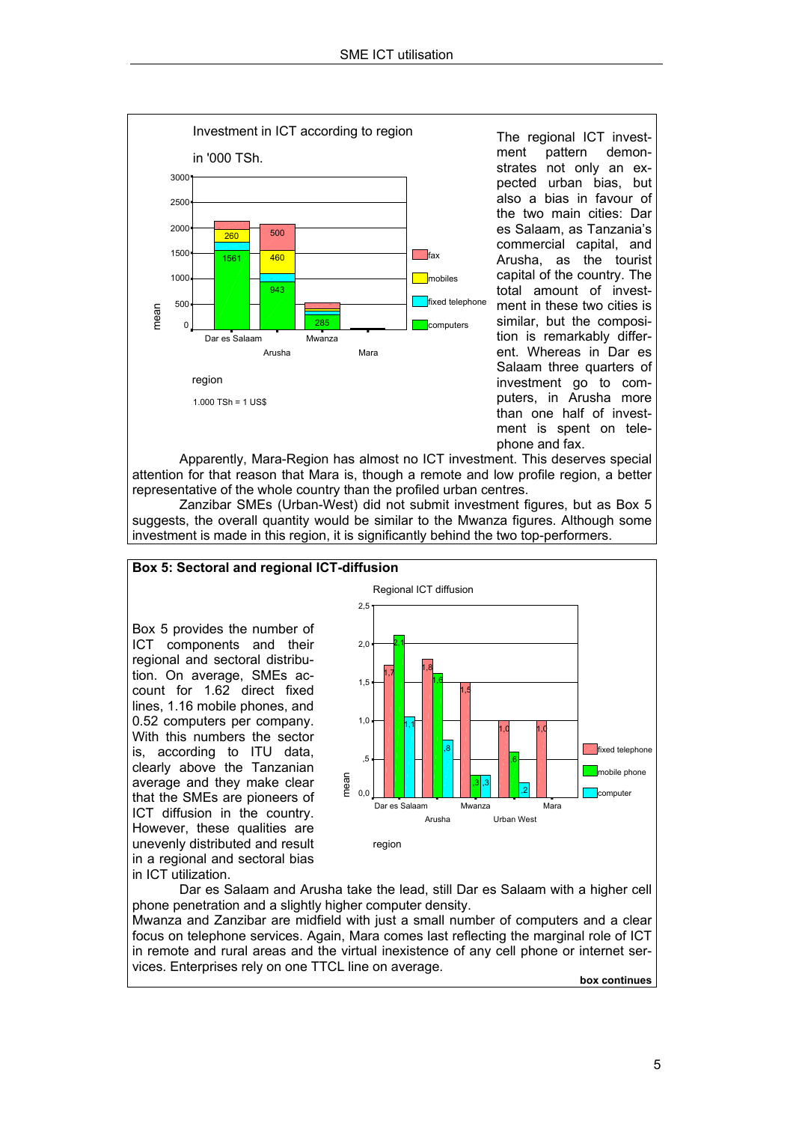

The regional ICT investment pattern demonstrates not only an expected urban bias, but also a bias in favour of the two main cities: Dar es Salaam, as Tanzania's commercial capital, and Arusha, as the tourist capital of the country. The total amount of investment in these two cities is similar, but the composition is remarkably different. Whereas in Dar es Salaam three quarters of investment go to computers, in Arusha more than one half of investment is spent on telephone and fax.

Apparently, Mara-Region has almost no ICT investment. This deserves special attention for that reason that Mara is, though a remote and low profile region, a better representative of the whole country than the profiled urban centres.

Zanzibar SMEs (Urban-West) did not submit investment figures, but as Box 5 suggests, the overall quantity would be similar to the Mwanza figures. Although some investment is made in this region, it is significantly behind the two top-performers.

### **Box 5: Sectoral and regional ICT-diffusion**

Box 5 provides the number of ICT components and their regional and sectoral distribution. On average, SMEs account for 1.62 direct fixed lines, 1.16 mobile phones, and 0.52 computers per company. With this numbers the sector is, according to ITU data, clearly above the Tanzanian average and they make clear that the SMEs are pioneers of ICT diffusion in the country. However, these qualities are unevenly distributed and result in a regional and sectoral bias in ICT utilization.



Dar es Salaam and Arusha take the lead, still Dar es Salaam with a higher cell phone penetration and a slightly higher computer density.

Mwanza and Zanzibar are midfield with just a small number of computers and a clear focus on telephone services. Again, Mara comes last reflecting the marginal role of ICT in remote and rural areas and the virtual inexistence of any cell phone or internet services. Enterprises rely on one TTCL line on average.

**box continues**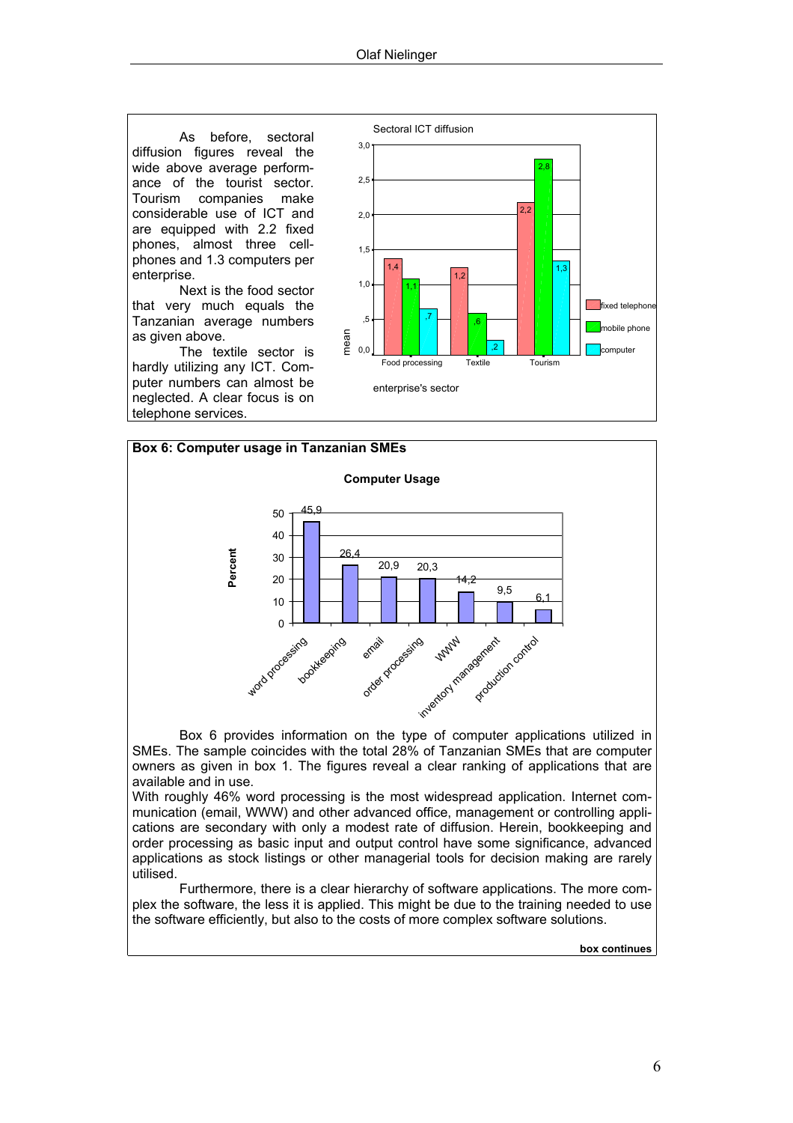As before, sectoral diffusion figures reveal the wide above average performance of the tourist sector. Tourism companies make considerable use of ICT and are equipped with 2.2 fixed phones, almost three cellphones and 1.3 computers per enterprise.

Next is the food sector that very much equals the Tanzanian average numbers as given above.

The textile sector is hardly utilizing any ICT. Computer numbers can almost be neglected. A clear focus is on telephone services.





Box 6 provides information on the type of computer applications utilized in SMEs. The sample coincides with the total 28% of Tanzanian SMEs that are computer owners as given in box 1. The figures reveal a clear ranking of applications that are available and in use.

With roughly 46% word processing is the most widespread application. Internet communication (email, WWW) and other advanced office, management or controlling applications are secondary with only a modest rate of diffusion. Herein, bookkeeping and order processing as basic input and output control have some significance, advanced applications as stock listings or other managerial tools for decision making are rarely utilised.

Furthermore, there is a clear hierarchy of software applications. The more complex the software, the less it is applied. This might be due to the training needed to use the software efficiently, but also to the costs of more complex software solutions.

**box continues**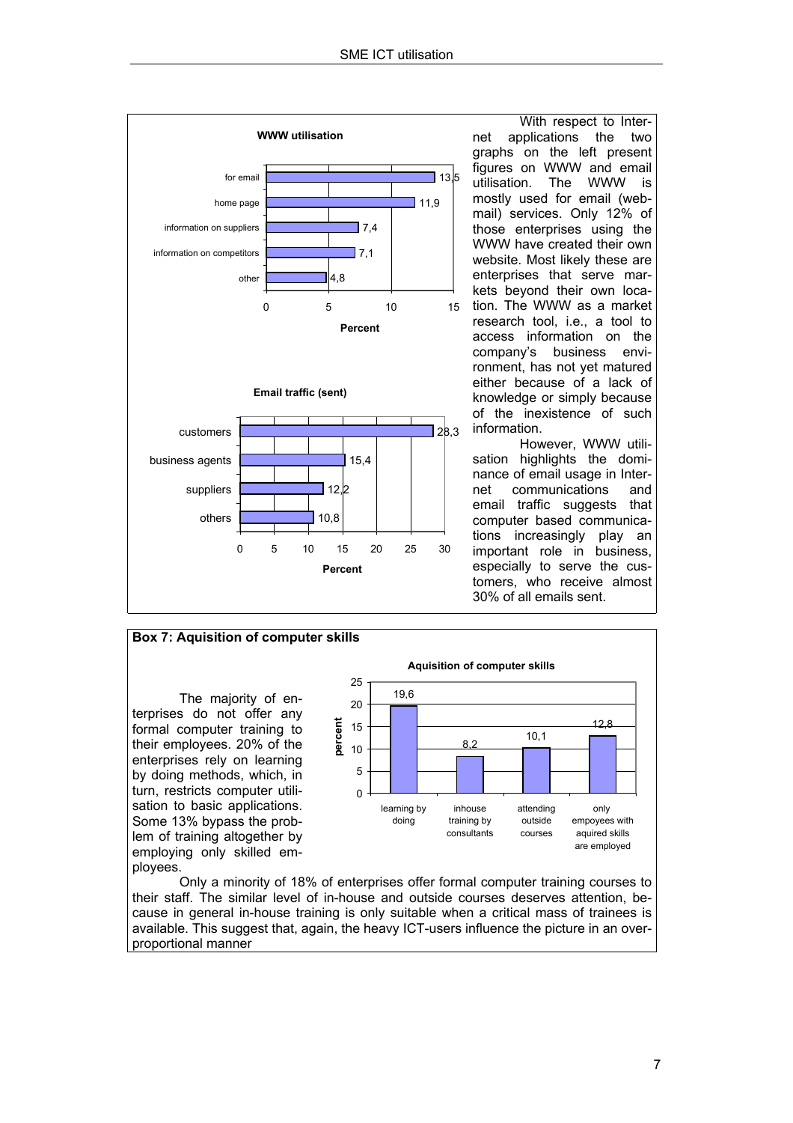

With respect to Internet applications the two graphs on the left present figures on WWW and email utilisation. The WWW is mostly used for email (webmail) services. Only 12% of those enterprises using the WWW have created their own website. Most likely these are enterprises that serve markets beyond their own location. The WWW as a market research tool, i.e., a tool to access information on the company's business environment, has not yet matured either because of a lack of knowledge or simply because of the inexistence of such information.

However, WWW utilisation highlights the dominance of email usage in Internet communications and email traffic suggests that computer based communications increasingly play an important role in business, especially to serve the customers, who receive almost 30% of all emails sent.



Only a minority of 18% of enterprises offer formal computer training courses to their staff. The similar level of in-house and outside courses deserves attention, because in general in-house training is only suitable when a critical mass of trainees is available. This suggest that, again, the heavy ICT-users influence the picture in an overproportional manner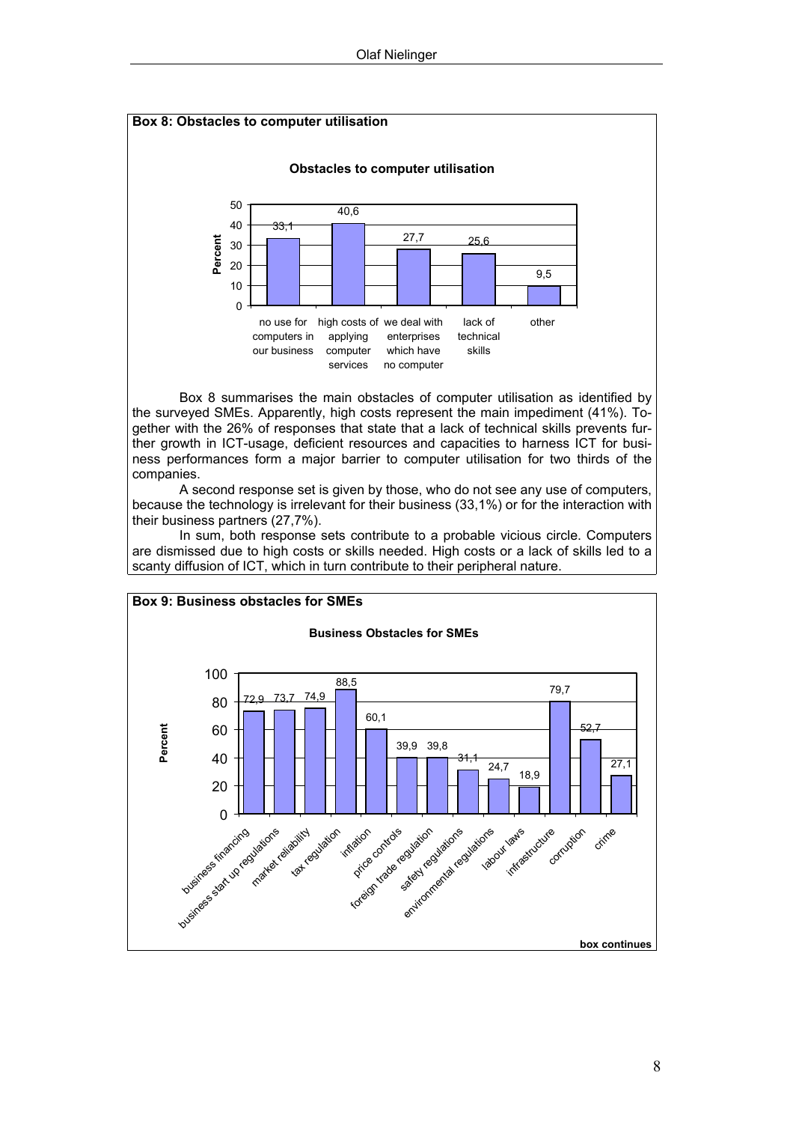

Box 8 summarises the main obstacles of computer utilisation as identified by the surveyed SMEs. Apparently, high costs represent the main impediment (41%). Together with the 26% of responses that state that a lack of technical skills prevents further growth in ICT-usage, deficient resources and capacities to harness ICT for business performances form a major barrier to computer utilisation for two thirds of the companies.

A second response set is given by those, who do not see any use of computers, because the technology is irrelevant for their business (33,1%) or for the interaction with their business partners (27,7%).

In sum, both response sets contribute to a probable vicious circle. Computers are dismissed due to high costs or skills needed. High costs or a lack of skills led to a scanty diffusion of ICT, which in turn contribute to their peripheral nature.



8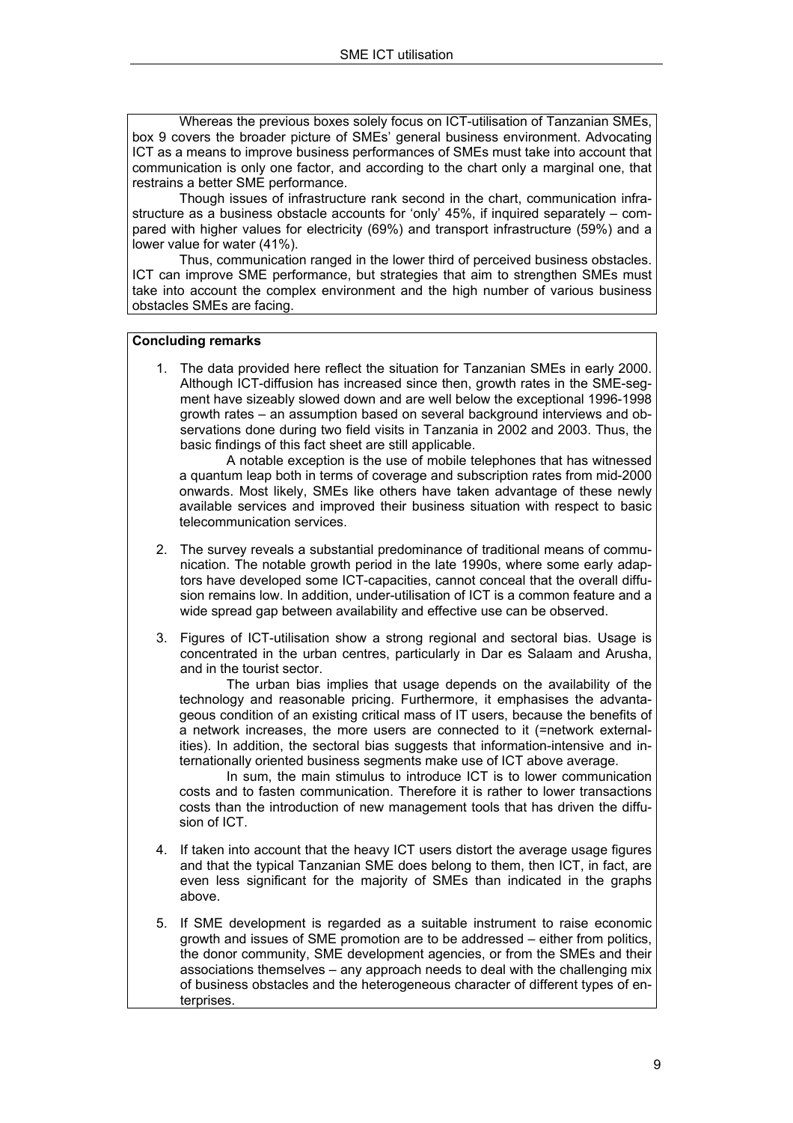Whereas the previous boxes solely focus on ICT-utilisation of Tanzanian SMEs, box 9 covers the broader picture of SMEs' general business environment. Advocating ICT as a means to improve business performances of SMEs must take into account that communication is only one factor, and according to the chart only a marginal one, that restrains a better SME performance.

Though issues of infrastructure rank second in the chart, communication infrastructure as a business obstacle accounts for 'only' 45%, if inquired separately – compared with higher values for electricity (69%) and transport infrastructure (59%) and a lower value for water (41%).

Thus, communication ranged in the lower third of perceived business obstacles. ICT can improve SME performance, but strategies that aim to strengthen SMEs must take into account the complex environment and the high number of various business obstacles SMEs are facing.

#### **Concluding remarks**

1. The data provided here reflect the situation for Tanzanian SMEs in early 2000. Although ICT-diffusion has increased since then, growth rates in the SME-segment have sizeably slowed down and are well below the exceptional 1996-1998 growth rates – an assumption based on several background interviews and observations done during two field visits in Tanzania in 2002 and 2003. Thus, the basic findings of this fact sheet are still applicable.

A notable exception is the use of mobile telephones that has witnessed a quantum leap both in terms of coverage and subscription rates from mid-2000 onwards. Most likely, SMEs like others have taken advantage of these newly available services and improved their business situation with respect to basic telecommunication services.

- 2. The survey reveals a substantial predominance of traditional means of communication. The notable growth period in the late 1990s, where some early adaptors have developed some ICT-capacities, cannot conceal that the overall diffusion remains low. In addition, under-utilisation of ICT is a common feature and a wide spread gap between availability and effective use can be observed.
- 3. Figures of ICT-utilisation show a strong regional and sectoral bias. Usage is concentrated in the urban centres, particularly in Dar es Salaam and Arusha, and in the tourist sector.

The urban bias implies that usage depends on the availability of the technology and reasonable pricing. Furthermore, it emphasises the advantageous condition of an existing critical mass of IT users, because the benefits of a network increases, the more users are connected to it (=network externalities). In addition, the sectoral bias suggests that information-intensive and internationally oriented business segments make use of ICT above average.

In sum, the main stimulus to introduce ICT is to lower communication costs and to fasten communication. Therefore it is rather to lower transactions costs than the introduction of new management tools that has driven the diffusion of ICT.

- 4. If taken into account that the heavy ICT users distort the average usage figures and that the typical Tanzanian SME does belong to them, then ICT, in fact, are even less significant for the majority of SMEs than indicated in the graphs above.
- 5. If SME development is regarded as a suitable instrument to raise economic growth and issues of SME promotion are to be addressed – either from politics, the donor community, SME development agencies, or from the SMEs and their associations themselves – any approach needs to deal with the challenging mix of business obstacles and the heterogeneous character of different types of enterprises.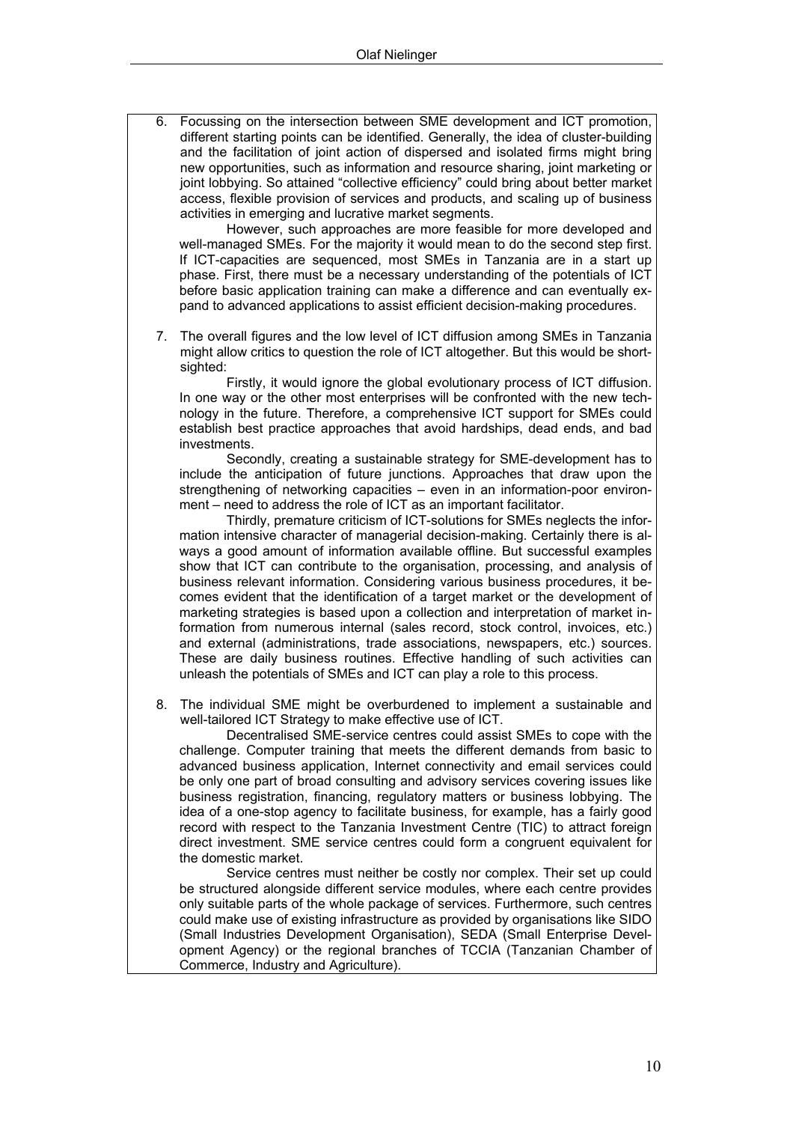6. Focussing on the intersection between SME development and ICT promotion, different starting points can be identified. Generally, the idea of cluster-building and the facilitation of joint action of dispersed and isolated firms might bring new opportunities, such as information and resource sharing, joint marketing or joint lobbying. So attained "collective efficiency" could bring about better market access, flexible provision of services and products, and scaling up of business activities in emerging and lucrative market segments.

However, such approaches are more feasible for more developed and well-managed SMEs. For the majority it would mean to do the second step first. If ICT-capacities are sequenced, most SMEs in Tanzania are in a start up phase. First, there must be a necessary understanding of the potentials of ICT before basic application training can make a difference and can eventually expand to advanced applications to assist efficient decision-making procedures.

7. The overall figures and the low level of ICT diffusion among SMEs in Tanzania might allow critics to question the role of ICT altogether. But this would be shortsighted:

Firstly, it would ignore the global evolutionary process of ICT diffusion. In one way or the other most enterprises will be confronted with the new technology in the future. Therefore, a comprehensive ICT support for SMEs could establish best practice approaches that avoid hardships, dead ends, and bad investments.

Secondly, creating a sustainable strategy for SME-development has to include the anticipation of future junctions. Approaches that draw upon the strengthening of networking capacities – even in an information-poor environment – need to address the role of ICT as an important facilitator.

Thirdly, premature criticism of ICT-solutions for SMEs neglects the information intensive character of managerial decision-making. Certainly there is always a good amount of information available offline. But successful examples show that ICT can contribute to the organisation, processing, and analysis of business relevant information. Considering various business procedures, it becomes evident that the identification of a target market or the development of marketing strategies is based upon a collection and interpretation of market information from numerous internal (sales record, stock control, invoices, etc.) and external (administrations, trade associations, newspapers, etc.) sources. These are daily business routines. Effective handling of such activities can unleash the potentials of SMEs and ICT can play a role to this process.

8. The individual SME might be overburdened to implement a sustainable and well-tailored ICT Strategy to make effective use of ICT.

Decentralised SME-service centres could assist SMEs to cope with the challenge. Computer training that meets the different demands from basic to advanced business application, Internet connectivity and email services could be only one part of broad consulting and advisory services covering issues like business registration, financing, regulatory matters or business lobbying. The idea of a one-stop agency to facilitate business, for example, has a fairly good record with respect to the Tanzania Investment Centre (TIC) to attract foreign direct investment. SME service centres could form a congruent equivalent for the domestic market.

Service centres must neither be costly nor complex. Their set up could be structured alongside different service modules, where each centre provides only suitable parts of the whole package of services. Furthermore, such centres could make use of existing infrastructure as provided by organisations like SIDO (Small Industries Development Organisation), SEDA (Small Enterprise Development Agency) or the regional branches of TCCIA (Tanzanian Chamber of Commerce, Industry and Agriculture).